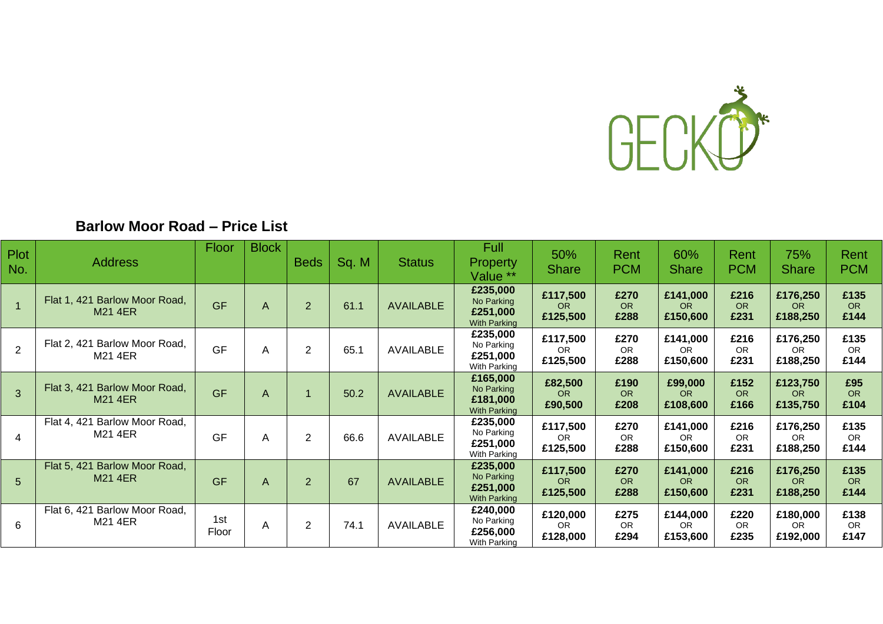

# **Barlow Moor Road – Price List**

| <b>Plot</b><br>No. | <b>Address</b>                                  | <b>Floor</b> | <b>Block</b> | <b>Beds</b>    | Sq. M | <b>Status</b>    | <b>Full</b><br><b>Property</b><br>Value **                | 50%<br><b>Share</b>               | Rent<br><b>PCM</b>        | 60%<br><b>Share</b>               | Rent<br><b>PCM</b>        | 75%<br><b>Share</b>               | Rent<br><b>PCM</b>        |
|--------------------|-------------------------------------------------|--------------|--------------|----------------|-------|------------------|-----------------------------------------------------------|-----------------------------------|---------------------------|-----------------------------------|---------------------------|-----------------------------------|---------------------------|
| $\overline{1}$     | Flat 1, 421 Barlow Moor Road,<br><b>M21 4ER</b> | <b>GF</b>    | A            | $\overline{2}$ | 61.1  | <b>AVAILABLE</b> | £235,000<br>No Parking<br>£251,000<br><b>With Parking</b> | £117,500<br><b>OR</b><br>£125,500 | £270<br><b>OR</b><br>£288 | £141,000<br><b>OR</b><br>£150,600 | £216<br><b>OR</b><br>£231 | £176,250<br><b>OR</b><br>£188,250 | £135<br>OR.<br>£144       |
| $\overline{2}$     | Flat 2, 421 Barlow Moor Road,<br>M21 4ER        | GF           | A            | $\overline{2}$ | 65.1  | <b>AVAILABLE</b> | £235,000<br>No Parking<br>£251,000<br>With Parking        | £117,500<br>OR.<br>£125,500       | £270<br><b>OR</b><br>£288 | £141,000<br>OR.<br>£150,600       | £216<br><b>OR</b><br>£231 | £176,250<br>OR.<br>£188,250       | £135<br><b>OR</b><br>£144 |
| 3                  | Flat 3, 421 Barlow Moor Road,<br><b>M21 4ER</b> | <b>GF</b>    | A            |                | 50.2  | <b>AVAILABLE</b> | £165,000<br>No Parking<br>£181,000<br><b>With Parking</b> | £82,500<br>OR.<br>£90,500         | £190<br><b>OR</b><br>£208 | £99,000<br>OR.<br>£108,600        | £152<br><b>OR</b><br>£166 | £123,750<br>OR<br>£135,750        | £95<br><b>OR</b><br>£104  |
| 4                  | Flat 4, 421 Barlow Moor Road,<br>M21 4ER        | GF           | A            | $\overline{2}$ | 66.6  | AVAILABLE        | £235,000<br>No Parking<br>£251,000<br>With Parking        | £117,500<br>OR.<br>£125,500       | £270<br><b>OR</b><br>£288 | £141,000<br><b>OR</b><br>£150,600 | £216<br><b>OR</b><br>£231 | £176,250<br>OR.<br>£188,250       | £135<br>OR.<br>£144       |
| 5                  | Flat 5, 421 Barlow Moor Road,<br><b>M21 4ER</b> | <b>GF</b>    | A            | $\overline{2}$ | 67    | <b>AVAILABLE</b> | £235,000<br>No Parking<br>£251,000<br><b>With Parking</b> | £117,500<br><b>OR</b><br>£125,500 | £270<br><b>OR</b><br>£288 | £141,000<br><b>OR</b><br>£150,600 | £216<br><b>OR</b><br>£231 | £176,250<br>OR<br>£188,250        | £135<br>OR.<br>£144       |
| 6                  | Flat 6, 421 Barlow Moor Road,<br>M21 4ER        | 1st<br>Floor | A            | $\overline{2}$ | 74.1  | AVAILABLE        | £240,000<br>No Parking<br>£256,000<br>With Parking        | £120,000<br>OR.<br>£128,000       | £275<br><b>OR</b><br>£294 | £144,000<br>OR.<br>£153,600       | £220<br><b>OR</b><br>£235 | £180,000<br>OR.<br>£192,000       | £138<br>OR.<br>£147       |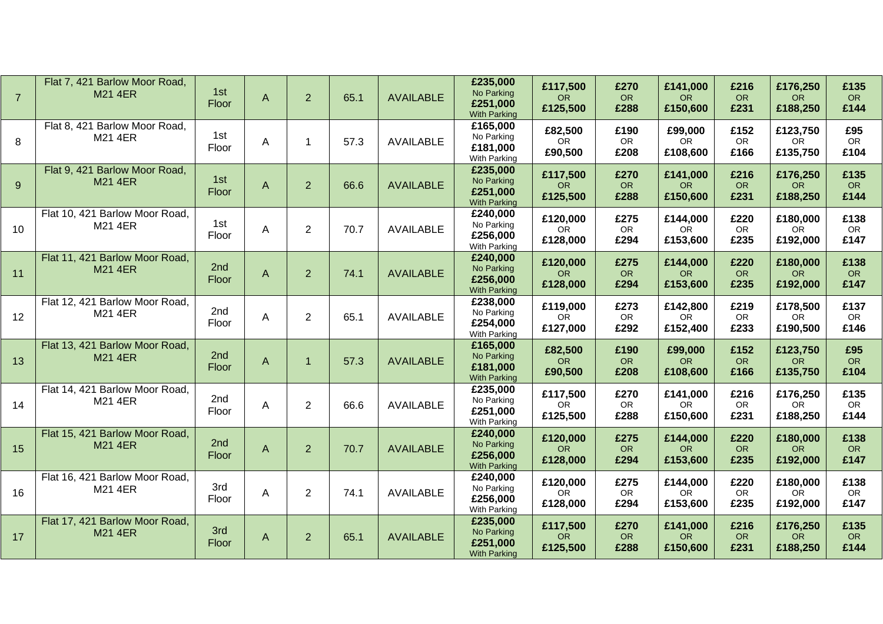| $\overline{7}$ | Flat 7, 421 Barlow Moor Road,<br><b>M21 4ER</b>  | 1st<br>Floor | $\mathsf{A}$   | $\overline{2}$ | 65.1 | <b>AVAILABLE</b> | £235,000<br>No Parking<br>£251,000<br><b>With Parking</b> | £117,500<br><b>OR</b><br>£125,500 | £270<br><b>OR</b><br>£288 | £141,000<br><b>OR</b><br>£150,600 | £216<br><b>OR</b><br>£231 | £176,250<br><b>OR</b><br>£188,250 | £135<br><b>OR</b><br>£144 |
|----------------|--------------------------------------------------|--------------|----------------|----------------|------|------------------|-----------------------------------------------------------|-----------------------------------|---------------------------|-----------------------------------|---------------------------|-----------------------------------|---------------------------|
| 8              | Flat 8, 421 Barlow Moor Road,<br>M21 4ER         | 1st<br>Floor | A              | 1              | 57.3 | <b>AVAILABLE</b> | £165,000<br>No Parking<br>£181,000<br>With Parking        | £82,500<br><b>OR</b><br>£90,500   | £190<br>OR<br>£208        | £99,000<br>OR.<br>£108,600        | £152<br>OR<br>£166        | £123,750<br><b>OR</b><br>£135,750 | £95<br>OR<br>£104         |
| 9              | Flat 9, 421 Barlow Moor Road,<br><b>M21 4ER</b>  | 1st<br>Floor | $\mathsf{A}$   | $\overline{2}$ | 66.6 | <b>AVAILABLE</b> | £235,000<br>No Parking<br>£251,000<br><b>With Parking</b> | £117,500<br><b>OR</b><br>£125,500 | £270<br>OR<br>£288        | £141,000<br><b>OR</b><br>£150,600 | £216<br><b>OR</b><br>£231 | £176,250<br><b>OR</b><br>£188,250 | £135<br><b>OR</b><br>£144 |
| 10             | Flat 10, 421 Barlow Moor Road,<br>M21 4ER        | 1st<br>Floor | Α              | $\overline{2}$ | 70.7 | <b>AVAILABLE</b> | £240,000<br>No Parking<br>£256,000<br>With Parking        | £120,000<br><b>OR</b><br>£128,000 | £275<br>OR<br>£294        | £144,000<br>OR.<br>£153,600       | £220<br><b>OR</b><br>£235 | £180,000<br><b>OR</b><br>£192,000 | £138<br><b>OR</b><br>£147 |
| 11             | Flat 11, 421 Barlow Moor Road,<br><b>M21 4ER</b> | 2nd<br>Floor | $\mathsf{A}$   | $\overline{2}$ | 74.1 | <b>AVAILABLE</b> | £240,000<br>No Parking<br>£256,000<br><b>With Parking</b> | £120,000<br><b>OR</b><br>£128,000 | £275<br><b>OR</b><br>£294 | £144,000<br><b>OR</b><br>£153,600 | £220<br><b>OR</b><br>£235 | £180,000<br><b>OR</b><br>£192,000 | £138<br><b>OR</b><br>£147 |
| 12             | Flat 12, 421 Barlow Moor Road,<br>M21 4ER        | 2nd<br>Floor | A              | $\overline{2}$ | 65.1 | <b>AVAILABLE</b> | £238,000<br>No Parking<br>£254,000<br>With Parking        | £119,000<br><b>OR</b><br>£127,000 | £273<br>OR<br>£292        | £142,800<br><b>OR</b><br>£152,400 | £219<br>OR<br>£233        | £178,500<br><b>OR</b><br>£190,500 | £137<br><b>OR</b><br>£146 |
| 13             | Flat 13, 421 Barlow Moor Road,<br><b>M21 4ER</b> | 2nd<br>Floor | $\overline{A}$ | $\overline{1}$ | 57.3 | <b>AVAILABLE</b> | £165,000<br>No Parking<br>£181,000<br><b>With Parking</b> | £82,500<br><b>OR</b><br>£90,500   | £190<br>OR<br>£208        | £99,000<br>OR<br>£108,600         | £152<br><b>OR</b><br>£166 | £123,750<br><b>OR</b><br>£135,750 | £95<br>OR<br>£104         |
| 14             | Flat 14, 421 Barlow Moor Road,<br>M21 4ER        | 2nd<br>Floor | Α              | $\overline{2}$ | 66.6 | <b>AVAILABLE</b> | £235,000<br>No Parking<br>£251,000<br>With Parking        | £117,500<br><b>OR</b><br>£125,500 | £270<br>OR<br>£288        | £141,000<br><b>OR</b><br>£150,600 | £216<br>OR<br>£231        | £176,250<br><b>OR</b><br>£188,250 | £135<br>OR<br>£144        |
| 15             | Flat 15, 421 Barlow Moor Road,<br><b>M21 4ER</b> | 2nd<br>Floor | $\mathsf{A}$   | $\overline{2}$ | 70.7 | <b>AVAILABLE</b> | £240,000<br>No Parking<br>£256,000<br><b>With Parking</b> | £120,000<br><b>OR</b><br>£128,000 | £275<br><b>OR</b><br>£294 | £144,000<br><b>OR</b><br>£153,600 | £220<br><b>OR</b><br>£235 | £180,000<br>OR.<br>£192,000       | £138<br><b>OR</b><br>£147 |
| 16             | Flat 16, 421 Barlow Moor Road,<br>M21 4ER        | 3rd<br>Floor | A              | $\overline{2}$ | 74.1 | <b>AVAILABLE</b> | £240,000<br>No Parking<br>£256,000<br>With Parking        | £120,000<br><b>OR</b><br>£128,000 | £275<br>OR<br>£294        | £144,000<br>OR.<br>£153,600       | £220<br><b>OR</b><br>£235 | £180,000<br><b>OR</b><br>£192,000 | £138<br><b>OR</b><br>£147 |
| 17             | Flat 17, 421 Barlow Moor Road,<br><b>M21 4ER</b> | 3rd<br>Floor | A              | $\overline{2}$ | 65.1 | <b>AVAILABLE</b> | £235,000<br>No Parking<br>£251,000<br><b>With Parking</b> | £117,500<br>OR.<br>£125,500       | £270<br><b>OR</b><br>£288 | £141,000<br><b>OR</b><br>£150,600 | £216<br><b>OR</b><br>£231 | £176,250<br><b>OR</b><br>£188,250 | £135<br><b>OR</b><br>£144 |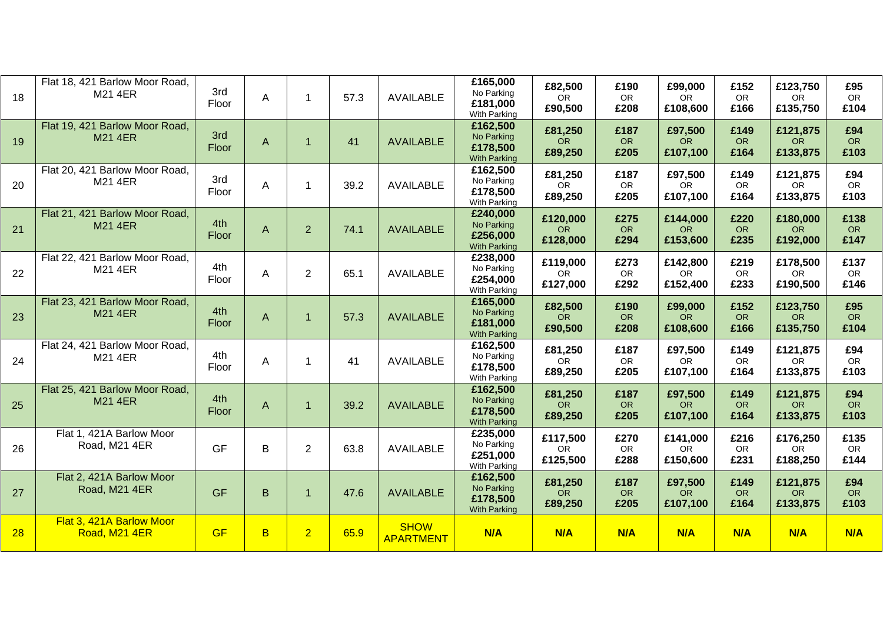| 18 | Flat 18, 421 Barlow Moor Road,<br>M21 4ER        | 3rd<br>Floor | A           | 1              | 57.3 | <b>AVAILABLE</b>                | £165,000<br>No Parking<br>£181,000<br>With Parking        | £82,500<br>OR.<br>£90,500         | £190<br>OR<br>£208        | £99,000<br>OR.<br>£108,600        | £152<br><b>OR</b><br>£166 | £123,750<br><b>OR</b><br>£135,750 | £95<br><b>OR</b><br>£104  |
|----|--------------------------------------------------|--------------|-------------|----------------|------|---------------------------------|-----------------------------------------------------------|-----------------------------------|---------------------------|-----------------------------------|---------------------------|-----------------------------------|---------------------------|
| 19 | Flat 19, 421 Barlow Moor Road,<br><b>M21 4ER</b> | 3rd<br>Floor | A           |                | 41   | <b>AVAILABLE</b>                | £162,500<br>No Parking<br>£178,500<br><b>With Parking</b> | £81,250<br><b>OR</b><br>£89,250   | £187<br><b>OR</b><br>£205 | £97,500<br><b>OR</b><br>£107,100  | £149<br><b>OR</b><br>£164 | £121,875<br><b>OR</b><br>£133,875 | £94<br><b>OR</b><br>£103  |
| 20 | Flat 20, 421 Barlow Moor Road,<br>M21 4ER        | 3rd<br>Floor | A           | 1              | 39.2 | <b>AVAILABLE</b>                | £162,500<br>No Parking<br>£178,500<br>With Parking        | £81,250<br><b>OR</b><br>£89,250   | £187<br>OR<br>£205        | £97,500<br><b>OR</b><br>£107,100  | £149<br><b>OR</b><br>£164 | £121,875<br><b>OR</b><br>£133,875 | £94<br>OR<br>£103         |
| 21 | Flat 21, 421 Barlow Moor Road,<br><b>M21 4ER</b> | 4th<br>Floor | A           | 2              | 74.1 | <b>AVAILABLE</b>                | £240,000<br>No Parking<br>£256,000<br><b>With Parking</b> | £120,000<br><b>OR</b><br>£128,000 | £275<br><b>OR</b><br>£294 | £144,000<br><b>OR</b><br>£153,600 | £220<br><b>OR</b><br>£235 | £180,000<br><b>OR</b><br>£192,000 | £138<br><b>OR</b><br>£147 |
| 22 | Flat 22, 421 Barlow Moor Road,<br>M21 4ER        | 4th<br>Floor | A           | $\overline{2}$ | 65.1 | <b>AVAILABLE</b>                | £238,000<br>No Parking<br>£254,000<br>With Parking        | £119,000<br><b>OR</b><br>£127,000 | £273<br>OR<br>£292        | £142,800<br><b>OR</b><br>£152,400 | £219<br>OR<br>£233        | £178,500<br><b>OR</b><br>£190,500 | £137<br>OR<br>£146        |
| 23 | Flat 23, 421 Barlow Moor Road,<br><b>M21 4ER</b> | 4th<br>Floor | A           |                | 57.3 | <b>AVAILABLE</b>                | £165,000<br>No Parking<br>£181,000<br><b>With Parking</b> | £82,500<br><b>OR</b><br>£90,500   | £190<br><b>OR</b><br>£208 | £99,000<br><b>OR</b><br>£108,600  | £152<br><b>OR</b><br>£166 | £123,750<br><b>OR</b><br>£135,750 | £95<br><b>OR</b><br>£104  |
| 24 | Flat 24, 421 Barlow Moor Road,<br>M21 4ER        | 4th<br>Floor | A           | 1              | 41   | <b>AVAILABLE</b>                | £162,500<br>No Parking<br>£178,500<br>With Parking        | £81,250<br>OR<br>£89,250          | £187<br>OR<br>£205        | £97,500<br><b>OR</b><br>£107,100  | £149<br><b>OR</b><br>£164 | £121,875<br><b>OR</b><br>£133,875 | £94<br><b>OR</b><br>£103  |
| 25 | Flat 25, 421 Barlow Moor Road,<br><b>M21 4ER</b> | 4th<br>Floor | A           |                | 39.2 | <b>AVAILABLE</b>                | £162,500<br>No Parking<br>£178,500<br><b>With Parking</b> | £81,250<br><b>OR</b><br>£89,250   | £187<br><b>OR</b><br>£205 | £97,500<br><b>OR</b><br>£107,100  | £149<br><b>OR</b><br>£164 | £121,875<br><b>OR</b><br>£133,875 | £94<br><b>OR</b><br>£103  |
| 26 | Flat 1, 421A Barlow Moor<br>Road, M21 4ER        | <b>GF</b>    | B           | $\overline{2}$ | 63.8 | <b>AVAILABLE</b>                | £235,000<br>No Parking<br>£251,000<br>With Parking        | £117,500<br><b>OR</b><br>£125,500 | £270<br><b>OR</b><br>£288 | £141,000<br>OR.<br>£150,600       | £216<br><b>OR</b><br>£231 | £176,250<br><b>OR</b><br>£188,250 | £135<br><b>OR</b><br>£144 |
| 27 | Flat 2, 421A Barlow Moor<br>Road, M21 4ER        | <b>GF</b>    | $\mathsf B$ | 1              | 47.6 | <b>AVAILABLE</b>                | £162,500<br>No Parking<br>£178,500<br><b>With Parking</b> | £81,250<br><b>OR</b><br>£89,250   | £187<br><b>OR</b><br>£205 | £97,500<br><b>OR</b><br>£107,100  | £149<br><b>OR</b><br>£164 | £121,875<br><b>OR</b><br>£133,875 | £94<br><b>OR</b><br>£103  |
| 28 | Flat 3, 421A Barlow Moor<br>Road, M21 4ER        | <b>GF</b>    | B           | $\overline{2}$ | 65.9 | <b>SHOW</b><br><b>APARTMENT</b> | N/A                                                       | N/A                               | N/A                       | N/A                               | N/A                       | N/A                               | N/A                       |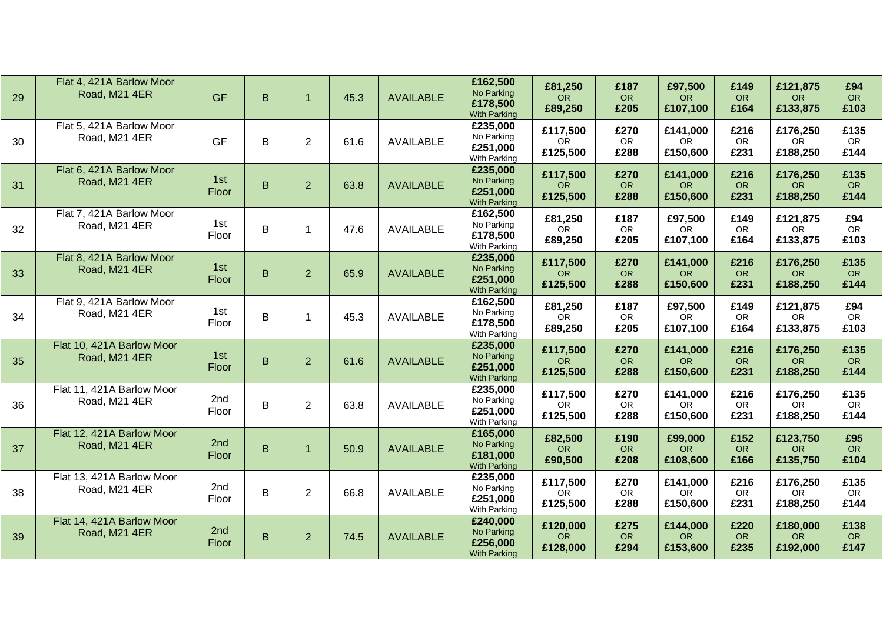| 29 | Flat 4, 421A Barlow Moor<br>Road, M21 4ER  | <b>GF</b>    | B       | $\blacktriangleleft$ | 45.3 | <b>AVAILABLE</b> | £162,500<br>No Parking<br>£178,500<br><b>With Parking</b> | £81,250<br><b>OR</b><br>£89,250   | £187<br><b>OR</b><br>£205 | £97,500<br>OR.<br>£107,100        | £149<br><b>OR</b><br>£164 | £121,875<br>OR.<br>£133,875       | £94<br><b>OR</b><br>£103  |
|----|--------------------------------------------|--------------|---------|----------------------|------|------------------|-----------------------------------------------------------|-----------------------------------|---------------------------|-----------------------------------|---------------------------|-----------------------------------|---------------------------|
| 30 | Flat 5, 421A Barlow Moor<br>Road, M21 4ER  | <b>GF</b>    | B       | $\overline{2}$       | 61.6 | <b>AVAILABLE</b> | £235,000<br>No Parking<br>£251,000<br>With Parking        | £117,500<br><b>OR</b><br>£125,500 | £270<br>OR<br>£288        | £141,000<br>OR.<br>£150,600       | £216<br>OR<br>£231        | £176,250<br><b>OR</b><br>£188,250 | £135<br><b>OR</b><br>£144 |
| 31 | Flat 6, 421A Barlow Moor<br>Road, M21 4ER  | 1st<br>Floor | $\sf B$ | $\overline{2}$       | 63.8 | <b>AVAILABLE</b> | £235,000<br>No Parking<br>£251,000<br><b>With Parking</b> | £117,500<br><b>OR</b><br>£125,500 | £270<br><b>OR</b><br>£288 | £141,000<br><b>OR</b><br>£150,600 | £216<br><b>OR</b><br>£231 | £176,250<br><b>OR</b><br>£188,250 | £135<br><b>OR</b><br>£144 |
| 32 | Flat 7, 421A Barlow Moor<br>Road, M21 4ER  | 1st<br>Floor | $\sf B$ | 1                    | 47.6 | <b>AVAILABLE</b> | £162,500<br>No Parking<br>£178,500<br>With Parking        | £81,250<br><b>OR</b><br>£89,250   | £187<br>OR<br>£205        | £97,500<br>OR.<br>£107,100        | £149<br>OR<br>£164        | £121,875<br>OR.<br>£133,875       | £94<br><b>OR</b><br>£103  |
| 33 | Flat 8, 421A Barlow Moor<br>Road, M21 4ER  | 1st<br>Floor | $\sf B$ | $\overline{2}$       | 65.9 | <b>AVAILABLE</b> | £235,000<br>No Parking<br>£251,000<br><b>With Parking</b> | £117,500<br><b>OR</b><br>£125,500 | £270<br><b>OR</b><br>£288 | £141,000<br><b>OR</b><br>£150,600 | £216<br><b>OR</b><br>£231 | £176,250<br><b>OR</b><br>£188,250 | £135<br><b>OR</b><br>£144 |
| 34 | Flat 9, 421A Barlow Moor<br>Road, M21 4ER  | 1st<br>Floor | $\sf B$ | 1                    | 45.3 | <b>AVAILABLE</b> | £162,500<br>No Parking<br>£178,500<br>With Parking        | £81,250<br>OR.<br>£89,250         | £187<br>OR<br>£205        | £97,500<br>OR.<br>£107,100        | £149<br>OR<br>£164        | £121,875<br>OR.<br>£133,875       | £94<br><b>OR</b><br>£103  |
| 35 | Flat 10, 421A Barlow Moor<br>Road, M21 4ER | 1st<br>Floor | $\sf B$ | $\overline{2}$       | 61.6 | <b>AVAILABLE</b> | £235,000<br>No Parking<br>£251,000<br><b>With Parking</b> | £117,500<br>OR<br>£125,500        | £270<br>OR<br>£288        | £141,000<br><b>OR</b><br>£150,600 | £216<br><b>OR</b><br>£231 | £176,250<br><b>OR</b><br>£188,250 | £135<br><b>OR</b><br>£144 |
| 36 | Flat 11, 421A Barlow Moor<br>Road, M21 4ER | 2nd<br>Floor | $\sf B$ | $\overline{2}$       | 63.8 | AVAILABLE        | £235,000<br>No Parking<br>£251,000<br>With Parking        | £117,500<br><b>OR</b><br>£125,500 | £270<br>OR<br>£288        | £141,000<br><b>OR</b><br>£150,600 | £216<br>OR<br>£231        | £176,250<br><b>OR</b><br>£188,250 | £135<br><b>OR</b><br>£144 |
| 37 | Flat 12, 421A Barlow Moor<br>Road, M21 4ER | 2nd<br>Floor | B       | $\mathbf 1$          | 50.9 | <b>AVAILABLE</b> | £165,000<br>No Parking<br>£181,000<br><b>With Parking</b> | £82,500<br><b>OR</b><br>£90,500   | £190<br><b>OR</b><br>£208 | £99,000<br>OR.<br>£108,600        | £152<br><b>OR</b><br>£166 | £123,750<br><b>OR</b><br>£135,750 | £95<br><b>OR</b><br>£104  |
| 38 | Flat 13, 421A Barlow Moor<br>Road, M21 4ER | 2nd<br>Floor | $\sf B$ | $\overline{2}$       | 66.8 | AVAILABLE        | £235,000<br>No Parking<br>£251,000<br>With Parking        | £117,500<br><b>OR</b><br>£125,500 | £270<br>OR<br>£288        | £141,000<br>OR.<br>£150,600       | £216<br><b>OR</b><br>£231 | £176,250<br><b>OR</b><br>£188,250 | £135<br><b>OR</b><br>£144 |
| 39 | Flat 14, 421A Barlow Moor<br>Road, M21 4ER | 2nd<br>Floor | $\sf B$ | 2 <sup>1</sup>       | 74.5 | <b>AVAILABLE</b> | £240,000<br>No Parking<br>£256,000<br><b>With Parking</b> | £120,000<br><b>OR</b><br>£128,000 | £275<br>OR<br>£294        | £144,000<br><b>OR</b><br>£153,600 | £220<br><b>OR</b><br>£235 | £180,000<br>OR.<br>£192,000       | £138<br><b>OR</b><br>£147 |